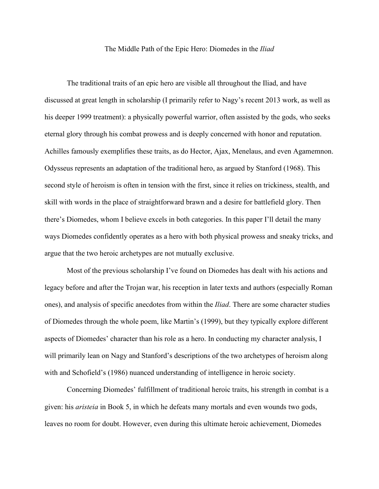## The Middle Path of the Epic Hero: Diomedes in the *Iliad*

The traditional traits of an epic hero are visible all throughout the Iliad, and have discussed at great length in scholarship (I primarily refer to Nagy's recent 2013 work, as well as his deeper 1999 treatment): a physically powerful warrior, often assisted by the gods, who seeks eternal glory through his combat prowess and is deeply concerned with honor and reputation. Achilles famously exemplifies these traits, as do Hector, Ajax, Menelaus, and even Agamemnon. Odysseus represents an adaptation of the traditional hero, as argued by Stanford (1968). This second style of heroism is often in tension with the first, since it relies on trickiness, stealth, and skill with words in the place of straightforward brawn and a desire for battlefield glory. Then there's Diomedes, whom I believe excels in both categories. In this paper I'll detail the many ways Diomedes confidently operates as a hero with both physical prowess and sneaky tricks, and argue that the two heroic archetypes are not mutually exclusive.

Most of the previous scholarship I've found on Diomedes has dealt with his actions and legacy before and after the Trojan war, his reception in later texts and authors (especially Roman ones), and analysis of specific anecdotes from within the *Iliad*. There are some character studies of Diomedes through the whole poem, like Martin's (1999), but they typically explore different aspects of Diomedes' character than his role as a hero. In conducting my character analysis, I will primarily lean on Nagy and Stanford's descriptions of the two archetypes of heroism along with and Schofield's (1986) nuanced understanding of intelligence in heroic society.

Concerning Diomedes' fulfillment of traditional heroic traits, his strength in combat is a given: his *aristeia* in Book 5, in which he defeats many mortals and even wounds two gods, leaves no room for doubt. However, even during this ultimate heroic achievement, Diomedes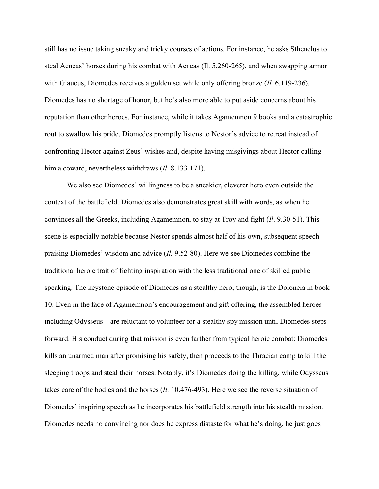still has no issue taking sneaky and tricky courses of actions. For instance, he asks Sthenelus to steal Aeneas' horses during his combat with Aeneas (Il. 5.260-265), and when swapping armor with Glaucus, Diomedes receives a golden set while only offering bronze (*Il.* 6.119-236). Diomedes has no shortage of honor, but he's also more able to put aside concerns about his reputation than other heroes. For instance, while it takes Agamemnon 9 books and a catastrophic rout to swallow his pride, Diomedes promptly listens to Nestor's advice to retreat instead of confronting Hector against Zeus' wishes and, despite having misgivings about Hector calling him a coward, nevertheless withdraws (*Il*. 8.133-171).

We also see Diomedes' willingness to be a sneakier, cleverer hero even outside the context of the battlefield. Diomedes also demonstrates great skill with words, as when he convinces all the Greeks, including Agamemnon, to stay at Troy and fight (*Il*. 9.30-51). This scene is especially notable because Nestor spends almost half of his own, subsequent speech praising Diomedes' wisdom and advice (*Il.* 9.52-80). Here we see Diomedes combine the traditional heroic trait of fighting inspiration with the less traditional one of skilled public speaking. The keystone episode of Diomedes as a stealthy hero, though, is the Doloneia in book 10. Even in the face of Agamemnon's encouragement and gift offering, the assembled heroes including Odysseus—are reluctant to volunteer for a stealthy spy mission until Diomedes steps forward. His conduct during that mission is even farther from typical heroic combat: Diomedes kills an unarmed man after promising his safety, then proceeds to the Thracian camp to kill the sleeping troops and steal their horses. Notably, it's Diomedes doing the killing, while Odysseus takes care of the bodies and the horses (*Il.* 10.476-493). Here we see the reverse situation of Diomedes' inspiring speech as he incorporates his battlefield strength into his stealth mission. Diomedes needs no convincing nor does he express distaste for what he's doing, he just goes